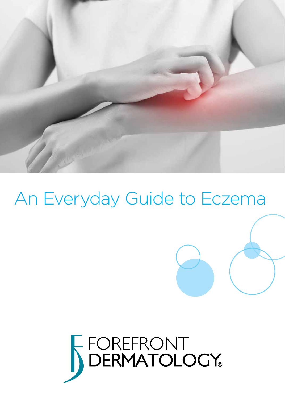

# An Everyday Guide to Eczema

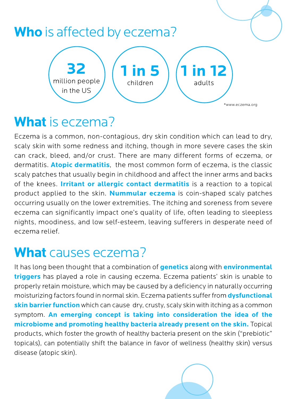

# **What** is eczema?

Eczema is a common, non-contagious, dry skin condition which can lead to dry, scaly skin with some redness and itching, though in more severe cases the skin can crack, bleed, and/or crust. There are many different forms of eczema, or dermatitis. **Atopic dermatitis**, the most common form of eczema, is the classic scaly patches that usually begin in childhood and affect the inner arms and backs of the knees. **Irritant or allergic contact dermatitis** is a reaction to a topical product applied to the skin. **Nummular eczema** is coin-shaped scaly patches occurring usually on the lower extremities. The itching and soreness from severe eczema can significantly impact one's quality of life, often leading to sleepless nights, moodiness, and low self-esteem, leaving sufferers in desperate need of eczema relief.

# **What** causes eczema?

It has long been thought that a combination of **genetics** along with **environmental triggers** has played a role in causing eczema. Eczema patients' skin is unable to properly retain moisture, which may be caused by a deficiency in naturally occurring moisturizing factors found in normal skin. Eczema patients suffer from **dysfunctional skin barrier function** which can cause dry, crusty, scaly skin with itching as a common symptom. **An emerging concept is taking into consideration the idea of the microbiome and promoting healthy bacteria already present on the skin.** Topical products, which foster the growth of healthy bacteria present on the skin ("prebiotic" topicals), can potentially shift the balance in favor of wellness (healthy skin) versus disease (atopic skin).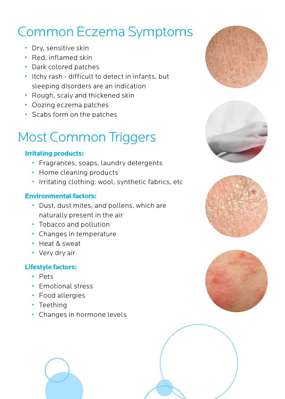# Common Eczema Symptoms<br>• Dry, sensitive skin

- 
- Red, inflamed skin
- Dark colored patches
- Itchy rash difficult to detect in infants, but sleeping disorders are an indication
- Rough, scaly and thickened skin
- Oozing eczema patches
- Scabs form on the patches

# Most Common Triggers

#### **Irritating products:**

- Fragrances, soaps, laundry detergents
- Home cleaning products
- Irritating clothing: wool, synthetic fabrics, etc

#### **Environmental factors:**

- Dust, dust mites, and pollens, which are naturally present in the air
- Tobacco and pollution
- Changes in temperature
- Heat & sweat
- Very dry air

#### **Lifestyle factors:**

- Pets
- Emotional stress
- Food allergies
- Teething
- Changes in hormone levels







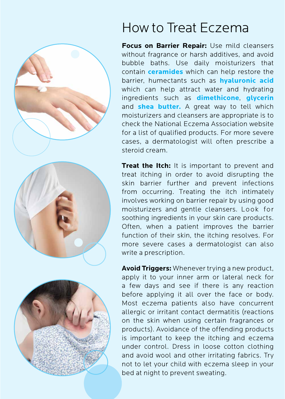

# How to Treat Eczema

**Focus on Barrier Repair:** Use mild cleansers without fragrance or harsh additives, and avoid bubble baths. Use daily moisturizers that contain **ceramides** which can help restore the barrier, humectants such as **hyaluronic acid** which can help attract water and hydrating ingredients such as **dimethicone**, **glycerin** and **shea butter.** A great way to tell which moisturizers and cleansers are appropriate is to check the National Eczema Association website for a list of qualified products. For more severe cases, a dermatologist will often prescribe a steroid cream.

**Treat the Itch:** It is important to prevent and treat itching in order to avoid disrupting the skin barrier further and prevent infections from occurring. Treating the itch intimately involves working on barrier repair by using good moisturizers and gentle cleansers. Look for soothing ingredients in your skin care products. Often, when a patient improves the barrier function of their skin, the itching resolves. For more severe cases a dermatologist can also write a prescription.

**Avoid Triggers:** Whenever trying a new product, apply it to your inner arm or lateral neck for a few days and see if there is any reaction before applying it all over the face or body. Most eczema patients also have concurrent allergic or irritant contact dermatitis (reactions on the skin when using certain fragrances or products). Avoidance of the offending products is important to keep the itching and eczema under control. Dress in loose cotton clothing and avoid wool and other irritating fabrics. Try not to let your child with eczema sleep in your bed at night to prevent sweating.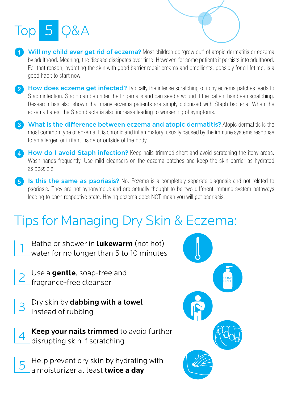



- Will my child ever get rid of eczema? Most children do 'grow out' of atopic dermatitis or eczema by adulthood. Meaning, the disease dissipates over time. However, for some patients it persists into adulthood. For that reason, hydrating the skin with good barrier repair creams and emollients, possibly for a lifetime, is a good habit to start now.
- 2 How does eczema get infected? Typically the intense scratching of itchy eczema patches leads to Staph infection. Staph can be under the fingernails and can seed a wound if the patient has been scratching. Research has also shown that many eczema patients are simply colonized with Staph bacteria. When the eczema flares, the Staph bacteria also increase leading to worsening of symptoms.
- 3) What is the difference between eczema and atopic dermatitis? Atopic dermatitis is the most common type of eczema. It is chronic and inflammatory, usually caused by the immune systems response to an allergen or irritant inside or outside of the body.
- 4) How do I avoid Staph infection? Keep nails trimmed short and avoid scratching the itchy areas. Wash hands frequently. Use mild cleansers on the eczema patches and keep the skin barrier as hydrated as possible.
- 5) Is this the same as psoriasis? No. Eczema is a completely separate diagnosis and not related to psoriasis. They are not synonymous and are actually thought to be two different immune system pathways leading to each respective state. Having eczema does NOT mean you will get psoriasis.

# Tips for Managing Dry Skin & Eczema:

- Bathe or shower in **lukewarm** (not hot) water for no longer than 5 to 10 minutes
	- 2 Use a **gentle**, soap-free and fragrance-free cleanser
		- Dry skin by dabbing with a towel instead of rubbing
		- Keep your nails trimmed to avoid further disrupting skin if scratching
	- 5 Help prevent dry skin by hydrating with a moisturizer at least **twice a day**

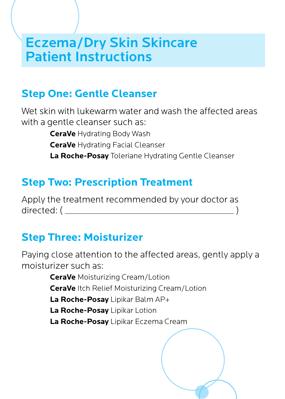## Eczema/Dry Skin Skincare Patient Instructions

## **Step One: Gentle Cleanser**

Wet skin with lukewarm water and wash the affected areas with a gentle cleanser such as:

> **CeraVe** Hydrating Body Wash **CeraVe** Hydrating Facial Cleanser **La Roche-Posay** Toleriane Hydrating Gentle Cleanser

## **Step Two: Prescription Treatment**

Apply the treatment recommended by your doctor as directed: ( \_\_\_\_\_\_\_\_\_\_\_\_\_\_\_\_\_\_\_\_\_\_\_\_\_\_\_\_\_\_\_\_\_\_\_\_\_\_\_\_\_ )

## **Step Three: Moisturizer**

Paying close attention to the affected areas, gently apply a moisturizer such as:

> **CeraVe** Moisturizing Cream/Lotion **CeraVe** Itch Relief Moisturizing Cream/Lotion **La Roche-Posay** Lipikar Balm AP+ **La Roche-Posay** Lipikar Lotion **La Roche-Posay** Lipikar Eczema Cream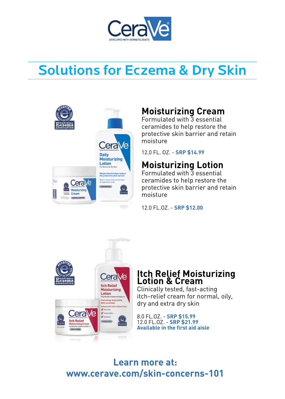

# Solutions for Eczema & Dry Skin



## **Moisturizing Cream**

Formulated with 3 essential ceramides to help restore the protective skin barrier and retain moisture

12.0 FL. OZ. - **SRP \$14.99**

## **Moisturizing Lotion**

Formulated with 3 essential ceramides to help restore the protective skin barrier and retain moisture

12.0 FL.OZ. - **SRP \$12.00**



### **Itch Relief Moisturizing Lotion & Cream**

Clinically tested, fast-acting itch-relief cream for normal, oily, dry and extra dry skin

8.0 FL.OZ. - **SRP \$15.99** 12.0 FL.OZ. - **SRP \$21.99 Available in the first aid aisle**

## **Learn more at: www.cerave.com/skin-concerns-101**